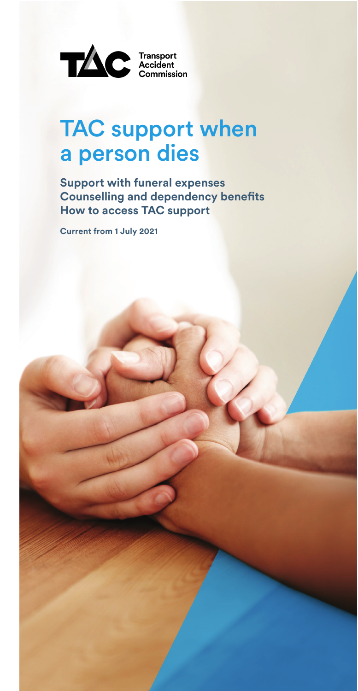

# TAC support when a person dies

**Support with funeral expenses Counselling and dependency benefts How to access TAC support** 

**Current from 1 July 2021**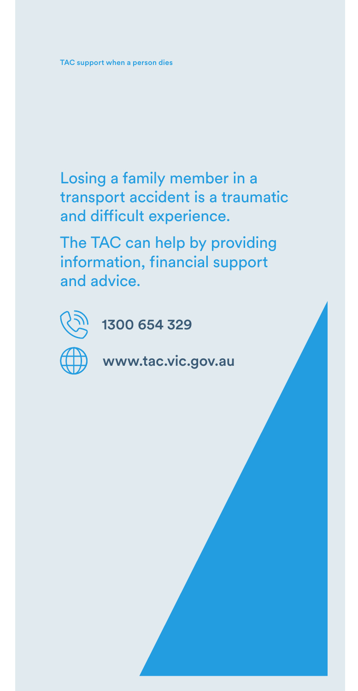Losing a family member in a transport accident is a traumatic and dificult experience.

The TAC can help by providing information, financial support and advice.



1300 654 329

www.tac.vic.gov.au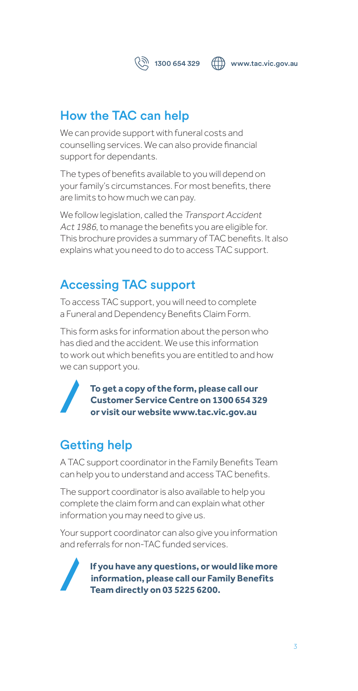1300 654 329 www.tac.vic.gov.au

# How the TAC can help

We can provide support with funeral costs and counselling services. We can also provide financial support for dependants.

The types of benefits available to you will depend on your family's circumstances. For most benefits, there are limits to how much we can pay.

We follow legislation, called the Transport Accident Act 1986, to manage the benefits you are eligible for. This brochure provides a summary of TAC benefits. It also explains what you need to do to access TAC support.

# Accessing TAC support

To access TAC support, you will need to complete a Funeral and Dependency Benefits Claim Form.

This form asks for information about the person who has died and the accident. We use this information to work out which benefits you are entitled to and how we can support you.

> **To get a copy of the form, please call our Customer Service Centre on 1300 654 329 or visit our website www.tac.vic.gov.au**

# Getting help

A TAC support coordinator in the Family Benefits Team can help you to understand and access TAC benefits.

The support coordinator is also available to help you complete the claim form and can explain what other information you may need to give us.

Your support coordinator can also give you information and referrals for non-TAC funded services.



**If you have any questions, or would like more information, please call our Family Benefits Team directly on 03 5225 6200.**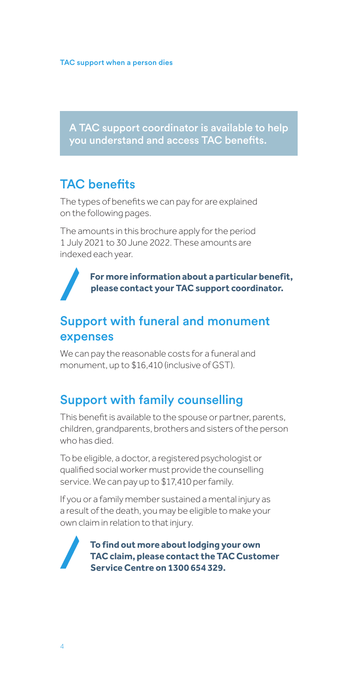A TAC support coordinator is available to help you understand and access TAC benefts.

# **TAC** benefits

The types of benefits we can pay for are explained on the following pages.

The amounts in this brochure apply for the period 1 July 2021 to 30 June 2022. These amounts are indexed each year.

> **For more information about a particular benefit, please contact your TAC support coordinator.**

### Support with funeral and monument expenses

We can pay the reasonable costs for a funeral and monument, up to \$16,410 (inclusive of GST).

### Support with family counselling

This benefit is available to the spouse or partner, parents, children, grandparents, brothers and sisters of the person who has died.

To be eligible, a doctor, a registered psychologist or qualified social worker must provide the counselling service. We can pay up to \$17,410 per family.

If you or a family member sustained a mental injury as a result of the death, you may be eligible to make your own claim in relation to that injury.

> **To find out more about lodging your own TAC claim, please contact the TAC Customer Service Centre on 1300 654 329.**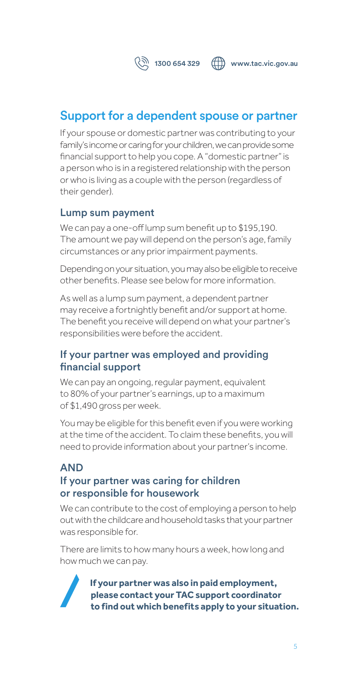

 $\binom{2}{3}$  1300 654 329  $\binom{2}{1}$  www.tac.vic.gov.au

# Support for a dependent spouse or partner

If your spouse or domestic partner was contributing to your family's income or caring for your children, we can provide some financial support to help you cope. A "domestic partner" is a person who is in a registered relationship with the person or who is living as a couple with the person (regardless of their gender).

### Lump sum payment

We can pay a one-off lump sum benefit up to \$195,190. The amount we pay will depend on the person's age, family circumstances or any prior impairment payments.

Depending on your situation, you may also be eligible to receive other benefits. Please see below for more information.

As well as a lump sum payment, a dependent partner may receive a fortnightly benefit and/or support at home. The benefit you receive will depend on what your partner's responsibilities were before the accident.

### If your partner was employed and providing fnancial support

We can pay an ongoing, regular payment, equivalent to 80% of your partner's earnings, up to a maximum of \$1,490 gross per week.

You may be eligible for this benefit even if you were working at the time of the accident. To claim these benefits, you will need to provide information about your partner's income.

### AND If your partner was caring for children or responsible for housework

We can contribute to the cost of employing a person to help out with the childcare and household tasks that your partner was responsible for.

There are limits to how many hours a week, how long and how much we can pay.



**If your partner was also in paid employment, please contact your TAC support coordinator to find out which benefits apply to your situation.**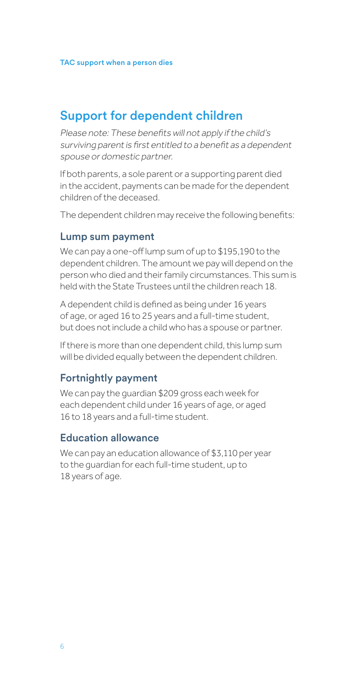## Support for dependent children

Please note: These benefits will not apply if the child's surviving parent is first entitled to a benefit as a dependent spouse or domestic partner.

If both parents, a sole parent or a supporting parent died in the accident, payments can be made for the dependent children of the deceased.

The dependent children may receive the following benefits:

#### Lump sum payment

We can pay a one-off lump sum of up to \$195,190 to the dependent children. The amount we pay will depend on the person who died and their family circumstances. This sum is held with the State Trustees until the children reach 18.

A dependent child is defined as being under 16 years of age, or aged 16 to 25 years and a full-time student, but does not include a child who has a spouse or partner.

If there is more than one dependent child, this lump sum will be divided equally between the dependent children.

#### Fortnightly payment

We can pay the guardian \$209 gross each week for each dependent child under 16 years of age, or aged 16 to 18 years and a full-time student.

### Education allowance

We can pay an education allowance of \$3,110 per year to the guardian for each full-time student, up to 18 years of age.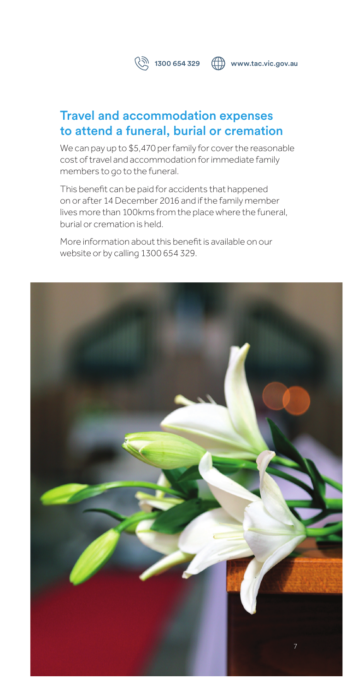

 $\binom{2}{3}$  1300 654 329  $\binom{3}{1}$  www.tac.vic.gov.au

# Travel and accommodation expenses to attend a funeral, burial or cremation

We can pay up to \$5,470 per family for cover the reasonable cost of travel and accommodation for immediate family members to go to the funeral.

This benefit can be paid for accidents that happened on or after 14 December 2016 and if the family member lives more than 100kms from the place where the funeral, burial or cremation is held.

More information about this benefit is available on our website or by calling 1300 654 329.